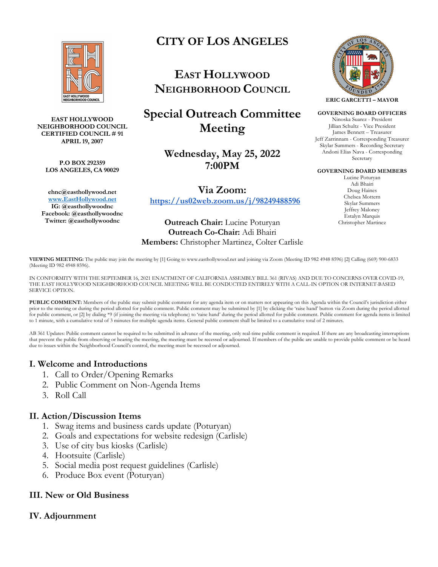

### **EAST HOLLYWOOD NEIGHBORHOOD COUNCIL CERTIFIED COUNCIL # 91 APRIL 19, 2007**

**P.O BOX 292359 LOS ANGELES, CA 90029** 

**ehnc@easthollywood.net www.EastHollywood.net IG: @easthollywoodnc Facebook: @easthollywoodnc Twitter: @easthollywoodnc**

# **CITY OF LOS ANGELES**

**EAST HOLLYWOOD NEIGHBORHOOD COUNCIL**

**Special Outreach Committee Meeting**

> **Wednesday, May 25, 2022 7:00PM**

**Via Zoom: https://us02web.zoom.us/j/98249488596**

**Outreach Chair:** Lucine Poturyan **Outreach Co-Chair:** Adi Bhairi **Members:** Christopher Martinez, Colter Carlisle



### **GOVERNING BOARD OFFICERS**

Ninoska Suarez - President Jillian Schultz - Vice President James Bennett – Treasurer Jeff Zarrinnam - Corresponding Treasurer Skylar Summers - Recording Secretary Andoni Elias Nava - Corresponding Secretary

#### **GOVERNING BOARD MEMBERS**

Lucine Poturyan Adi Bhairi Doug Haines Chelsea Mottern Skylar Summers Jeffrey Maloney Estalyn Marquis Christopher Martinez

**VIEWING MEETING:** The public may join the meeting by [1] Going to www.easthollywood.net and joining via Zoom (Meeting ID 982 4948 8596) [2] Calling (669) 900-6833 (Meeting ID 982 4948 8596).

IN CONFORMITY WITH THE SEPTEMBER 16, 2021 ENACTMENT OF CALIFORNIA ASSEMBLY BILL 361 (RIVAS) AND DUE TO CONCERNS OVER COVID-19, THE EAST HOLLYWOOD NEIGHBORHOOD COUNCIL MEETING WILL BE CONDUCTED ENTIRELY WITH A CALL-IN OPTION OR INTERNET-BASED SERVICE OPTION.

**PUBLIC COMMENT:** Members of the public may submit public comment for any agenda item or on matters not appearing on this Agenda within the Council's jurisdiction either prior to the meeting or during the period allotted for public comment. Public comment may be submitted by [1] by clicking the 'raise hand' button via Zoom during the period allotted for public comment, or [2] by dialing \*9 (if joining the meeting via telephone) to 'raise hand' during the period allotted for public comment. Public comment for agenda items is limited to 1 minute, with a cumulative total of 3 minutes for multiple agenda items. General public comment shall be limited to a cumulative total of 2 minutes.

AB 361 Updates: Public comment cannot be required to be submitted in advance of the meeting, only real-time public comment is required. If there are any broadcasting interruptions that prevent the public from observing or hearing the meeting, the meeting must be recessed or adjourned. If members of the public are unable to provide public comment or be heard due to issues within the Neighborhood Council's control, the meeting must be recessed or adjourned.

# **I. Welcome and Introductions**

- 1. Call to Order/Opening Remarks
- 2. Public Comment on Non-Agenda Items
- 3. Roll Call

### **II. Action/Discussion Items**

- 1. Swag items and business cards update (Poturyan)
- 2. Goals and expectations for website redesign (Carlisle)
- 3. Use of city bus kiosks (Carlisle)
- 4. Hootsuite (Carlisle)
- 5. Social media post request guidelines (Carlisle)
- 6. Produce Box event (Poturyan)

# **III. New or Old Business**

# **IV. Adjournment**